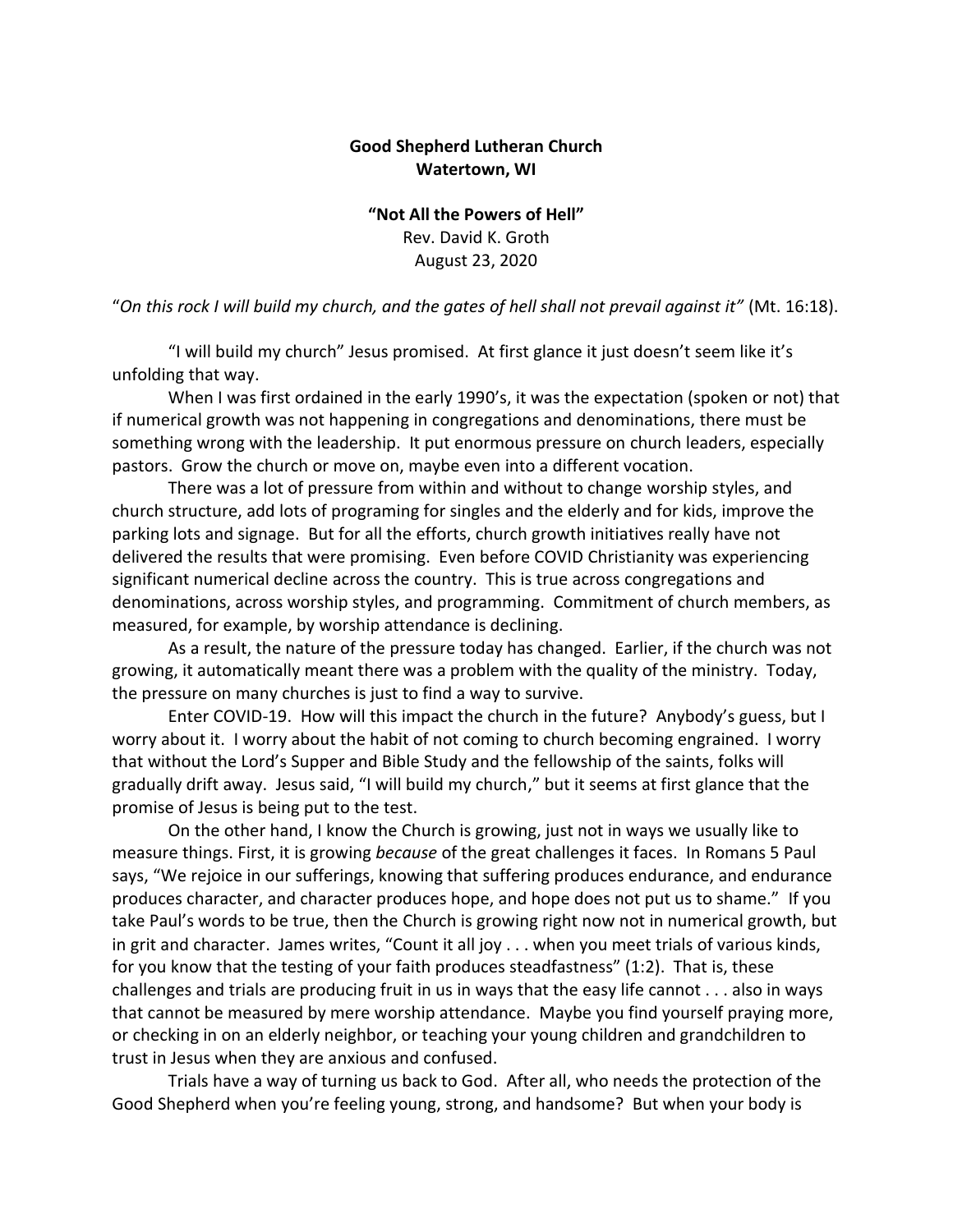## **Good Shepherd Lutheran Church Watertown, WI**

**"Not All the Powers of Hell"** Rev. David K. Groth August 23, 2020

"*On this rock I will build my church, and the gates of hell shall not prevail against it"* (Mt. 16:18).

"I will build my church" Jesus promised. At first glance it just doesn't seem like it's unfolding that way.

When I was first ordained in the early 1990's, it was the expectation (spoken or not) that if numerical growth was not happening in congregations and denominations, there must be something wrong with the leadership. It put enormous pressure on church leaders, especially pastors. Grow the church or move on, maybe even into a different vocation.

There was a lot of pressure from within and without to change worship styles, and church structure, add lots of programing for singles and the elderly and for kids, improve the parking lots and signage. But for all the efforts, church growth initiatives really have not delivered the results that were promising. Even before COVID Christianity was experiencing significant numerical decline across the country. This is true across congregations and denominations, across worship styles, and programming. Commitment of church members, as measured, for example, by worship attendance is declining.

As a result, the nature of the pressure today has changed. Earlier, if the church was not growing, it automatically meant there was a problem with the quality of the ministry. Today, the pressure on many churches is just to find a way to survive.

Enter COVID-19. How will this impact the church in the future? Anybody's guess, but I worry about it. I worry about the habit of not coming to church becoming engrained. I worry that without the Lord's Supper and Bible Study and the fellowship of the saints, folks will gradually drift away. Jesus said, "I will build my church," but it seems at first glance that the promise of Jesus is being put to the test.

On the other hand, I know the Church is growing, just not in ways we usually like to measure things. First, it is growing *because* of the great challenges it faces. In Romans 5 Paul says, "We rejoice in our sufferings, knowing that suffering produces endurance, and endurance produces character, and character produces hope, and hope does not put us to shame." If you take Paul's words to be true, then the Church is growing right now not in numerical growth, but in grit and character. James writes, "Count it all joy . . . when you meet trials of various kinds, for you know that the testing of your faith produces steadfastness" (1:2). That is, these challenges and trials are producing fruit in us in ways that the easy life cannot . . . also in ways that cannot be measured by mere worship attendance. Maybe you find yourself praying more, or checking in on an elderly neighbor, or teaching your young children and grandchildren to trust in Jesus when they are anxious and confused.

Trials have a way of turning us back to God. After all, who needs the protection of the Good Shepherd when you're feeling young, strong, and handsome? But when your body is